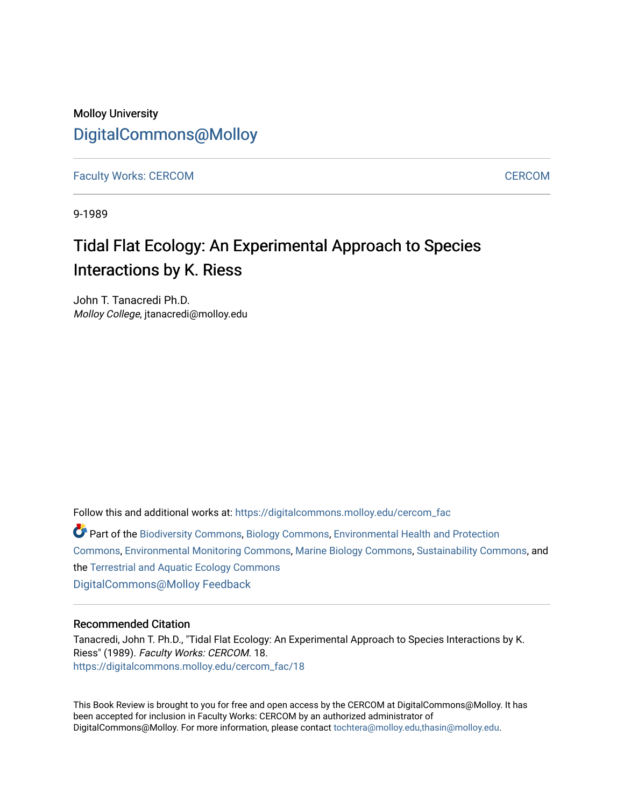## Molloy University [DigitalCommons@Molloy](https://digitalcommons.molloy.edu/)

[Faculty Works: CERCOM](https://digitalcommons.molloy.edu/cercom_fac) CHARGES AND [CERCOM](https://digitalcommons.molloy.edu/cercom) CONSERVERS AND THE CONSERVERS OF THE CERCOM CONSERVERS AND CERCOM

9-1989

## Tidal Flat Ecology: An Experimental Approach to Species Interactions by K. Riess

John T. Tanacredi Ph.D. Molloy College, jtanacredi@molloy.edu

Follow this and additional works at: [https://digitalcommons.molloy.edu/cercom\\_fac](https://digitalcommons.molloy.edu/cercom_fac?utm_source=digitalcommons.molloy.edu%2Fcercom_fac%2F18&utm_medium=PDF&utm_campaign=PDFCoverPages) 

Part of the [Biodiversity Commons](https://network.bepress.com/hgg/discipline/1127?utm_source=digitalcommons.molloy.edu%2Fcercom_fac%2F18&utm_medium=PDF&utm_campaign=PDFCoverPages), [Biology Commons](https://network.bepress.com/hgg/discipline/41?utm_source=digitalcommons.molloy.edu%2Fcercom_fac%2F18&utm_medium=PDF&utm_campaign=PDFCoverPages), [Environmental Health and Protection](https://network.bepress.com/hgg/discipline/172?utm_source=digitalcommons.molloy.edu%2Fcercom_fac%2F18&utm_medium=PDF&utm_campaign=PDFCoverPages) [Commons](https://network.bepress.com/hgg/discipline/172?utm_source=digitalcommons.molloy.edu%2Fcercom_fac%2F18&utm_medium=PDF&utm_campaign=PDFCoverPages), [Environmental Monitoring Commons,](https://network.bepress.com/hgg/discipline/931?utm_source=digitalcommons.molloy.edu%2Fcercom_fac%2F18&utm_medium=PDF&utm_campaign=PDFCoverPages) [Marine Biology Commons,](https://network.bepress.com/hgg/discipline/1126?utm_source=digitalcommons.molloy.edu%2Fcercom_fac%2F18&utm_medium=PDF&utm_campaign=PDFCoverPages) [Sustainability Commons](https://network.bepress.com/hgg/discipline/1031?utm_source=digitalcommons.molloy.edu%2Fcercom_fac%2F18&utm_medium=PDF&utm_campaign=PDFCoverPages), and the [Terrestrial and Aquatic Ecology Commons](https://network.bepress.com/hgg/discipline/20?utm_source=digitalcommons.molloy.edu%2Fcercom_fac%2F18&utm_medium=PDF&utm_campaign=PDFCoverPages) [DigitalCommons@Molloy Feedback](https://molloy.libwizard.com/f/dcfeedback)

## Recommended Citation

Tanacredi, John T. Ph.D., "Tidal Flat Ecology: An Experimental Approach to Species Interactions by K. Riess" (1989). Faculty Works: CERCOM. 18. [https://digitalcommons.molloy.edu/cercom\\_fac/18](https://digitalcommons.molloy.edu/cercom_fac/18?utm_source=digitalcommons.molloy.edu%2Fcercom_fac%2F18&utm_medium=PDF&utm_campaign=PDFCoverPages) 

This Book Review is brought to you for free and open access by the CERCOM at DigitalCommons@Molloy. It has been accepted for inclusion in Faculty Works: CERCOM by an authorized administrator of DigitalCommons@Molloy. For more information, please contact [tochtera@molloy.edu,thasin@molloy.edu.](mailto:tochtera@molloy.edu,thasin@molloy.edu)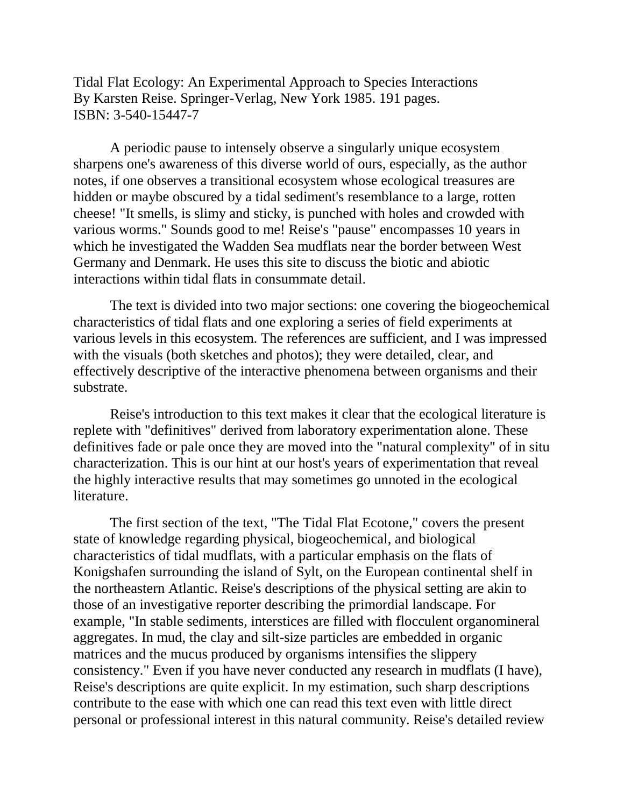Tidal Flat Ecology: An Experimental Approach to Species Interactions By Karsten Reise. Springer-Verlag, New York 1985. 191 pages. ISBN: 3-540-15447-7

A periodic pause to intensely observe a singularly unique ecosystem sharpens one's awareness of this diverse world of ours, especially, as the author notes, if one observes a transitional ecosystem whose ecological treasures are hidden or maybe obscured by a tidal sediment's resemblance to a large, rotten cheese! "It smells, is slimy and sticky, is punched with holes and crowded with various worms." Sounds good to me! Reise's "pause" encompasses 10 years in which he investigated the Wadden Sea mudflats near the border between West Germany and Denmark. He uses this site to discuss the biotic and abiotic interactions within tidal flats in consummate detail.

The text is divided into two major sections: one covering the biogeochemical characteristics of tidal flats and one exploring a series of field experiments at various levels in this ecosystem. The references are sufficient, and I was impressed with the visuals (both sketches and photos); they were detailed, clear, and effectively descriptive of the interactive phenomena between organisms and their substrate.

Reise's introduction to this text makes it clear that the ecological literature is replete with "definitives" derived from laboratory experimentation alone. These definitives fade or pale once they are moved into the "natural complexity" of in situ characterization. This is our hint at our host's years of experimentation that reveal the highly interactive results that may sometimes go unnoted in the ecological literature.

The first section of the text, "The Tidal Flat Ecotone," covers the present state of knowledge regarding physical, biogeochemical, and biological characteristics of tidal mudflats, with a particular emphasis on the flats of Konigshafen surrounding the island of Sylt, on the European continental shelf in the northeastern Atlantic. Reise's descriptions of the physical setting are akin to those of an investigative reporter describing the primordial landscape. For example, "In stable sediments, interstices are filled with flocculent organomineral aggregates. In mud, the clay and silt-size particles are embedded in organic matrices and the mucus produced by organisms intensifies the slippery consistency." Even if you have never conducted any research in mudflats (I have), Reise's descriptions are quite explicit. In my estimation, such sharp descriptions contribute to the ease with which one can read this text even with little direct personal or professional interest in this natural community. Reise's detailed review